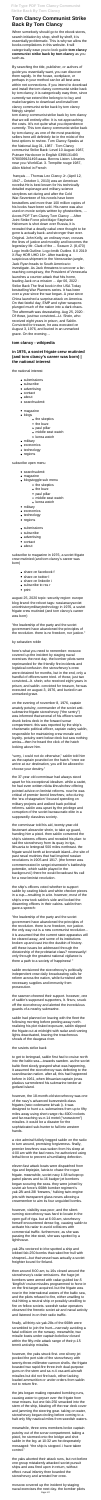# **Tom Clancy Communist Strike Back By Tom Clancy**

When somebody should go to the ebook stores, search initiation by shop, shelf by shelf, it is essentially problematic. This is why we allow the books compilations in this website. It will categorically ease you to look guide **tom clancy communist strike back by tom clancy** as you such as.

By searching the title, publisher, or authors of guide you essentially want, you can discover them rapidly. In the house, workplace, or perhaps in your method can be all best area within net connections. If you intend to download and install the tom clancy communist strike back by tom clancy, it is categorically easy then, since currently we extend the belong to to buy and make bargains to download and install tom clancy communist strike back by tom clancy fittingly simple!

tom clancy communist strike back by tom clancy that we will entirely offer. It is not approaching the costs. It\'s not quite what you dependence currently. This tom clancy communist strike back by tom clancy, as one of the most practicing sellers here will definitely be in the midst of the best options to review. Tom Clancy Speaks at the National Aug 01, 1987 · Tom Clancy communist Strike Back: Level 10 August 1987, Putnam Hardcover in English 0399131493 9780399131493 aaaa. Borrow Listen. Libraries near you: WorldCat. 3. Tempête rouge 1987, Albin Michel in French

- submissions
- subscribe
- advertising
- contact
- about
- searchsubmit
- magazine
- blogs
	- the skeptics
		- ∘ the buzz
		- $\circ$  paul pillar
		- middle east watch
		- korea watch
- military
- economics
- technology
- regions

 français … Thomas Leo Clancy Jr. (April 12, 1947 – October 1, 2013) was an American novelist.He is best known for his technically detailed espionage and military-science storylines set during and after the Cold War.Seventeen of his novels have been bestsellers and more than 100 million copies of his books have been sold. His name was also used on movie scripts written by ghostwriters, … Acces PDF Tom Clancy Tom Clancy ... After Joint Strike Force pilot Major Stephanie Halverson is shot down over Russia, it is revealed that a deadly cabal once thought to be gone is actually back--and stronger than ever. Original. John Kelly, an ordinary man, crosses the lines of justice and morality and becomes the legendary Mr. Clark of the ... Season 2. (8,470) Logo Imdb Outline. Logo Imdb Outline. 8.0 2019 X-Ray HDR UHD 16+. After tracking a suspicious shipment in the Venezuelan jungle, Jack Ryan heads to South America to investigate. As Jack threatens to uncover a farreaching conspiracy, the President of Venezuela launches a counter-attack that hits home, leading Jack on a mission ... Apr 06, 2022 · Strike Back The final book in the USA Today bestselling War Planners series. It has been over a year since the war began. A year since China launched a surprise attack on America. On that fateful day, EMP and cyber weapons plunged much of the nation into a dark chaos. The aftermath was devastating. Aug 25, 2020 · Of those, just two convicted—Lt. Shein, who received eight years in prison, and Sablin. Convicted for treason, he was executed on August 3, 1976, and buried in an unmarked grave. On the evening ...

### **tom clancy - wikipedia**

**in 1976, a soviet frigate crew mutinied (and tom clancy's career was born) | the national interest**

subscribe open menu

- searchsubmit
- magazine
- blogstoggle sub menu
	- o the skeptics
	- o the buzz
	- $\circ$  paul pillar
	- middle east watch
	- korea watch
- military
- economics
- technology
- regions
- submissions
- subscribe
- advertising
- contact
- about

subscribe to magazine in 1976, a soviet frigate crew mutinied (and tom clancy's career was born)

- share on facebook f
- share on twitter I
- share on linkedin i
- subscribe to rss r
- print

august 25, 2020 topic: security region: europe blog brand: the reboot tags: russianavysoviet unionhistorymilitarytechnology in 1976, a soviet frigate crew mutinied (and tom clancy's career was born)

"the leadership of the party and the soviet government have abandoned the principles of the revolution. there is no freedom, nor justice."

#### by sebastien roblin

here's what you need to remember: moscow covered up the incident by staging naval exercises the next day. the bomber pilots were reprimanded for the friendly fire incidents and logistical confusion. the storozhevoy's crew were detained for months, but in the end, only a handful of officers were tried. of those, just two convicted—lt. shein, who received eight years in prison, and sablin. convicted for treason, he was executed on august 3, 1976, and buried in an unmarked grave.

on the evening of november 8, 1976, captain anatoly potulny, commander of the soviet antisubmarine frigate storozhevoy ("the sentry") was informed that several of his officers were drunk below deck in the forward sonar compartment. this was reported by the ship's charismatic political officer, captain valery sablin, responsible for maintaining crew morale and loyalty. potulny went below deck but saw nothing amiss—then he heard the click of the hatch locking above him.

"sorry, i could not do otherwise," sablin told him as the captain pounded on the hatch. "once we arrive at our destination, you will be allowed to choose your destiny."

the 37-year old commissar had always stood apart for his exceptional idealism. while a cadet, he had even written nikita khrushchev offering pointed advice on leninist reforms. now he was critical of premier leonid brezhnev, who during the 'era of stagnation' focused spending on military projects and walked back political reforms. sablin was upset by the privilege and corruption of the soviet bureaucratic elite in a supposedly classless society.

the commissar told his aid, twenty-year-old lieutenant alexander shein, to take up guard, handing him a pistol. then sablin convened the ship's sixteens officers and revealed his plan: to sail the storozhevoy from its quay in riga, lithuania to leningrad 500 miles northeast. the frigate would berth at kronstadt island—the site of past naval mutinies that had inspired russian revolutions in 1905 and 1917. (the former was commemorated in sergei eisenstein's battleship potemkin, which sablin played in the background.) there he would broadcast his call for a new leninist revolution.

the ship's officers voted whether to support sablin by casting black and white checker pieces in a cup—resulting in a tie. however, most of the ship's crew took sablin's side and locked the dissenting officers in their cabins. sablin then gave a speech:

"the leadership of the party and the soviet government have abandoned the principles of the revolution. there is no freedom, nor justice. the only way out is a new communist revolution… it is assumed that the current state apparatus will be cleared away, and some of its institutions broken up and cast into the dustbin of history. will these issues be addressed through the dictatorship of the proletariat class? necessarily! only through the greatest national vigilance is there a path to a society of happiness! "

sablin envisioned the storozhevoy's politically independent crew daily broadcasting calls for reform across the nation, while furnished with necessary supplies and immunity from prosecution.

the seamen cheered their support. however, one of sablin's supposed supporters, lt. firsov, snuck off the storozhevoy and alerted the incredulous guards of a nearby submarine.

sablin had planned on leaving with the fleet the following morning before peeling away north. realizing his plot risked exposure, sablin slipped the frigate out at midnight with radar and running lights deactivated, braving the treacherous shoals of the daugava river.

the soviets strike back

to get to leningrad, sablin first had to cruise north into the baltic sea—towards sweden. as the soviet baltic fleet slowly grasped what was happening, it assumed the storozhevoy was defecting to the scandinavian nation. after all, this had happened before in 1961, when lithuanian captain jonas plaskus surrendered his submarine tender at gotland island.

however, the 18-month-old storozhevoy was one of the navy's advanced burevestnik-class frigates (nato codename krivak i). it was designed to hunt u.s. submarines from up to fifty miles away using short-range rbu-6000 rockets and far-reaching ss-n-14 metel ("snowstorm") missiles. it would be a disaster for the

sophisticated sub-hunter to fall into western hands.

a vice admiral futilely begged sablin on the radio to turn around, promising forgiveness. finally, premier brezhnev was woken from his sleep at 4:00 am with the bad news. he authorized using lethal force to prevent a humiliating defection.

eleven fast attack boats were dispatched from riga and liepiejaie, latvia to chase the rogue frigate. meanwhile, soviet navy il-38 turboprop patrol planes and tu-16 badger jet bombers began scouring the seas. they were joined by soviet air force's 668th bomber regiment's yak-28i and-28l 'brewers,' hulking twin-engine jets with transparent glass noses allowing a crewmember to aim its four unguided bombs.

however, visibility was poor, and the silentrunning storozhevoy was hard to locate in the open gulf of riga. but at 6:00 am, storzhevoy herself encountered dense fog, causing sablin to activate his radar to avoid collisions with commercial traffic. furthermore, as she was passing the irbe strait, she was spotted by a lighthouse.

yak-28s vectored to irbe spotted a ship and lobbed fab-250 bombs that raked her hull with shrapnel—but that vessel was actually a soviet freighter bound for finland.

then around 8:00 am, tu-16s closed around the storozhevoy's radar emissions. the huge jet bombers were armed with radar-guided ksr-5 'kingfish' cruise missiles programmed to hone in on the first target acquired. but the frigate was now in the international waters of the baltic sea, and the pilots refused to fire, either unwilling to risk hitting a neutral ship or possibly unwilling to fire on fellow soviets. swedish radar operators observed the frenetic soviet air and naval activity and listened in on their radio traffic.

finally, all thirty-six yak-28s of the 668th were scrambled to join the hunt—narrowly avoiding a fatal collision on the runway. meanwhile, two missile boats under captain bobrikov closed within the fifty-mile attack range of their p-15 termit anti-ship missiles.

however, the yaks struck first. one silvery jet pocked the port side of the storozhevoy with twenty-three-millimeter cannon shells. the frigate boasted two rapid-fire three-inch dual-purpose guns on the stern and sa-n-4 osa anti-aircraft missiles but did not fire back, either lacking loaded ammunition or under orders from sablin not to return fire.

the jets began making repeated bombing runs, causing water to geyser over the frigate from near misses. but one fab-250 smacked into the stern of the ship, blasting off the rear deck cover and jamming the steering gear. taking on water, storozhevoy began circling before coming to a halt only fifty nautical miles from swedish waters.

meanwhile, three crew members broke captain putolny out of the sonar compartment. taking a pistol, he stormed onto the bridge and shot sablin in the leg. at 10:32 am he desperately messaged: "the ship is stopped. i have taken control."

the yaks aborted their attack runs, but not before one group mistakenly attacked soviet pursuit ships and was fired upon in return, without effect. naval infantry then boarded the storozhevoy and arrested her crew.

moscow covered up the incident by staging naval exercises the next day. the bomber pilots Page 1/2